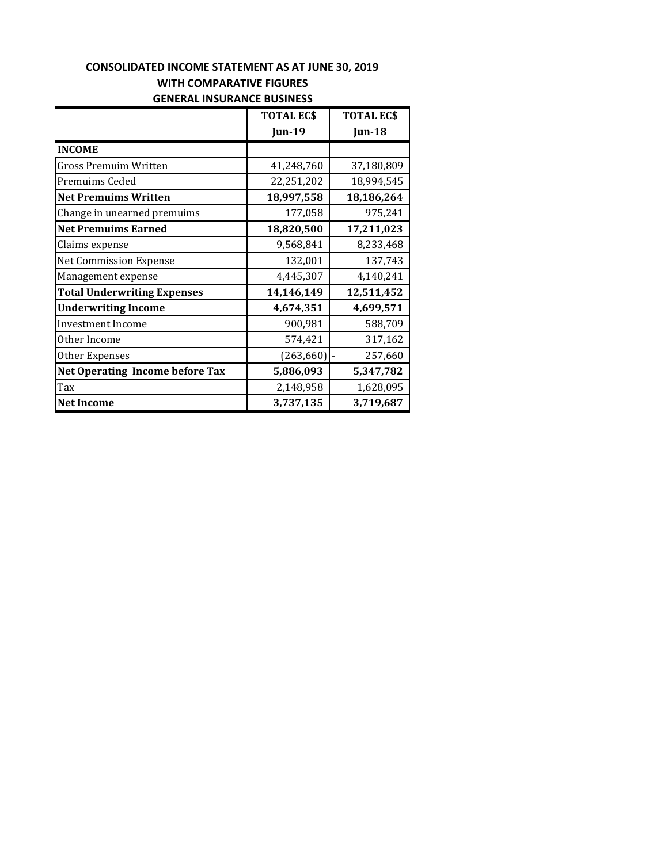## **GENERAL INSURANCE BUSINESS CONSOLIDATED INCOME STATEMENT AS AT JUNE 30, 2019 WITH COMPARATIVE FIGURES**

|                                        | <b>TOTAL ECS</b> | <b>TOTAL ECS</b> |
|----------------------------------------|------------------|------------------|
|                                        | <b>Jun-19</b>    | <b>Jun-18</b>    |
| <b>INCOME</b>                          |                  |                  |
| <b>Gross Premuim Written</b>           | 41,248,760       | 37,180,809       |
| Premuims Ceded                         | 22,251,202       | 18,994,545       |
| <b>Net Premuims Written</b>            | 18,997,558       | 18,186,264       |
| Change in unearned premuims            | 177,058          | 975,241          |
| <b>Net Premuims Earned</b>             | 18,820,500       | 17,211,023       |
| Claims expense                         | 9,568,841        | 8,233,468        |
| Net Commission Expense                 | 132,001          | 137,743          |
| Management expense                     | 4,445,307        | 4,140,241        |
| <b>Total Underwriting Expenses</b>     | 14,146,149       | 12,511,452       |
| <b>Underwriting Income</b>             | 4,674,351        | 4,699,571        |
| Investment Income                      | 900,981          | 588,709          |
| Other Income                           | 574,421          | 317,162          |
| Other Expenses                         | (263, 660)       | 257,660          |
| <b>Net Operating Income before Tax</b> | 5,886,093        | 5,347,782        |
| Tax                                    | 2,148,958        | 1,628,095        |
| <b>Net Income</b>                      | 3,737,135        | 3,719,687        |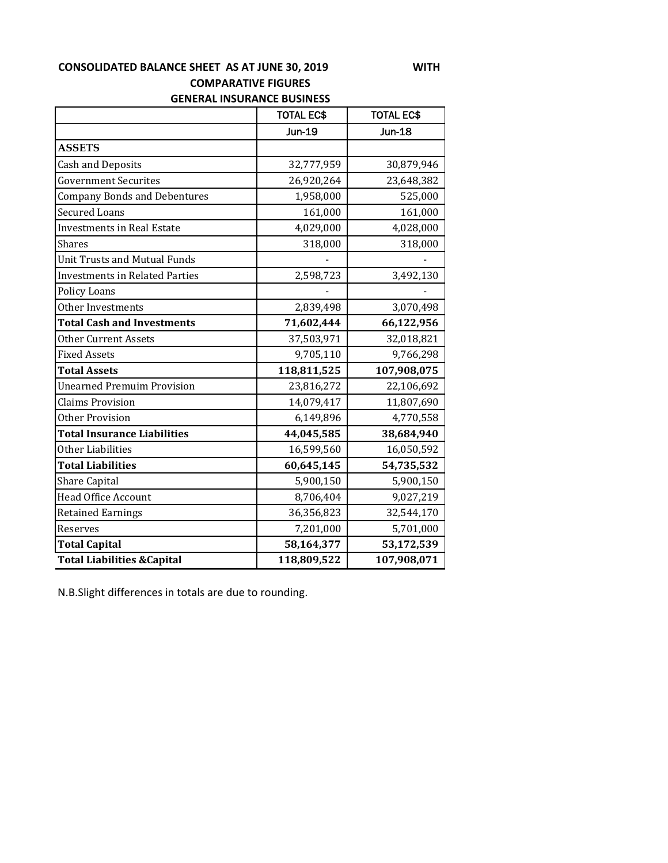## **GENERAL INSURANCE BUSINESS CONSOLIDATED BALANCE SHEET AS AT JUNE 30, 2019 WITH COMPARATIVE FIGURES**

|                                        | <b>TOTAL EC\$</b> | <b>TOTAL EC\$</b> |
|----------------------------------------|-------------------|-------------------|
|                                        | <b>Jun-19</b>     | <b>Jun-18</b>     |
| <b>ASSETS</b>                          |                   |                   |
| <b>Cash and Deposits</b>               | 32,777,959        | 30,879,946        |
| <b>Government Securites</b>            | 26,920,264        | 23,648,382        |
| <b>Company Bonds and Debentures</b>    | 1,958,000         | 525,000           |
| <b>Secured Loans</b>                   | 161,000           | 161,000           |
| <b>Investments in Real Estate</b>      | 4,029,000         | 4,028,000         |
| <b>Shares</b>                          | 318,000           | 318,000           |
| <b>Unit Trusts and Mutual Funds</b>    |                   |                   |
| <b>Investments in Related Parties</b>  | 2,598,723         | 3,492,130         |
| Policy Loans                           |                   |                   |
| Other Investments                      | 2,839,498         | 3,070,498         |
| <b>Total Cash and Investments</b>      | 71,602,444        | 66,122,956        |
| <b>Other Current Assets</b>            | 37,503,971        | 32,018,821        |
| <b>Fixed Assets</b>                    | 9,705,110         | 9,766,298         |
| <b>Total Assets</b>                    | 118,811,525       | 107,908,075       |
| <b>Unearned Premuim Provision</b>      | 23,816,272        | 22,106,692        |
| <b>Claims Provision</b>                | 14,079,417        | 11,807,690        |
| <b>Other Provision</b>                 | 6,149,896         | 4,770,558         |
| <b>Total Insurance Liabilities</b>     | 44,045,585        | 38,684,940        |
| Other Liabilities                      | 16,599,560        | 16,050,592        |
| <b>Total Liabilities</b>               | 60,645,145        | 54,735,532        |
| <b>Share Capital</b>                   | 5,900,150         | 5,900,150         |
| <b>Head Office Account</b>             | 8,706,404         | 9,027,219         |
| <b>Retained Earnings</b>               | 36,356,823        | 32,544,170        |
| Reserves                               | 7,201,000         | 5,701,000         |
| <b>Total Capital</b>                   | 58,164,377        | 53,172,539        |
| <b>Total Liabilities &amp; Capital</b> | 118,809,522       | 107,908,071       |

N.B.Slight differences in totals are due to rounding.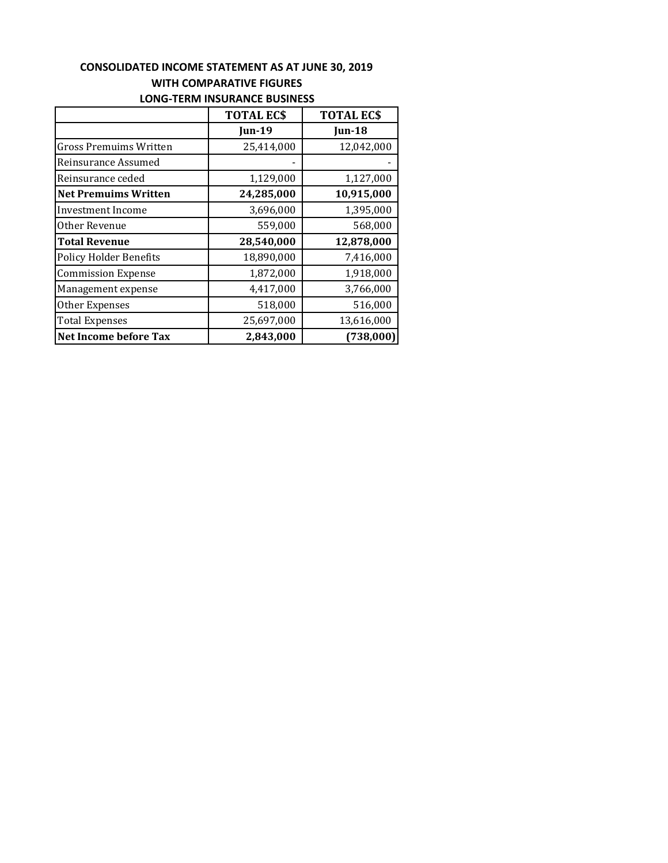## **LONG‐TERM INSURANCE BUSINESS CONSOLIDATED INCOME STATEMENT AS AT JUNE 30, 2019 WITH COMPARATIVE FIGURES**

|                               | <b>TOTAL ECS</b> | <b>TOTAL ECS</b> |  |
|-------------------------------|------------------|------------------|--|
|                               | <b>Jun-19</b>    | Jun-18           |  |
| <b>Gross Premuims Written</b> | 25,414,000       | 12,042,000       |  |
| Reinsurance Assumed           |                  |                  |  |
| Reinsurance ceded             | 1,129,000        | 1,127,000        |  |
| <b>Net Premuims Written</b>   | 24,285,000       | 10,915,000       |  |
| Investment Income             | 3,696,000        | 1,395,000        |  |
| Other Revenue                 | 559,000          | 568,000          |  |
| <b>Total Revenue</b>          | 28,540,000       | 12,878,000       |  |
| <b>Policy Holder Benefits</b> | 18,890,000       | 7,416,000        |  |
| <b>Commission Expense</b>     | 1,872,000        | 1,918,000        |  |
| Management expense            | 4,417,000        | 3,766,000        |  |
| Other Expenses                | 518,000          | 516,000          |  |
| <b>Total Expenses</b>         | 25,697,000       | 13,616,000       |  |
| <b>Net Income before Tax</b>  | 2,843,000        | (738,000)        |  |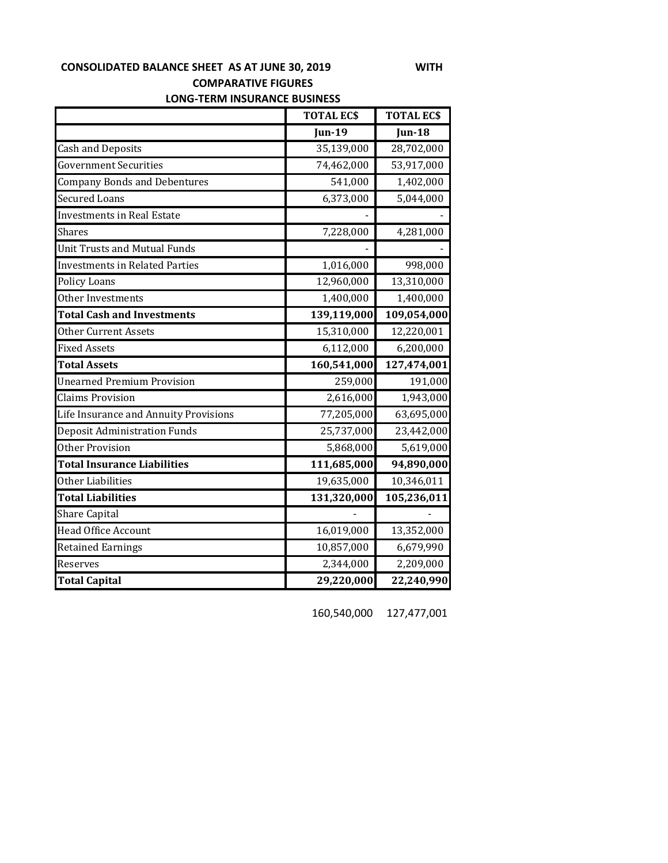**LONG‐TERM INSURANCE BUSINESS CONSOLIDATED BALANCE SHEET AS AT JUNE 30, 2019 WITH COMPARATIVE FIGURES** 

|                                       | <b>TOTAL ECS</b> | <b>TOTAL ECS</b> |
|---------------------------------------|------------------|------------------|
|                                       | $Jun-19$         | Jun-18           |
| <b>Cash and Deposits</b>              | 35,139,000       | 28,702,000       |
| <b>Government Securities</b>          | 74,462,000       | 53,917,000       |
| <b>Company Bonds and Debentures</b>   | 541,000          | 1,402,000        |
| <b>Secured Loans</b>                  | 6,373,000        | 5,044,000        |
| <b>Investments in Real Estate</b>     |                  |                  |
| Shares                                | 7,228,000        | 4,281,000        |
| <b>Unit Trusts and Mutual Funds</b>   |                  |                  |
| <b>Investments in Related Parties</b> | 1,016,000        | 998,000          |
| <b>Policy Loans</b>                   | 12,960,000       | 13,310,000       |
| Other Investments                     | 1,400,000        | 1,400,000        |
| <b>Total Cash and Investments</b>     | 139,119,000      | 109,054,000      |
| <b>Other Current Assets</b>           | 15,310,000       | 12,220,001       |
| <b>Fixed Assets</b>                   | 6,112,000        | 6,200,000        |
| <b>Total Assets</b>                   | 160,541,000      | 127,474,001      |
| <b>Unearned Premium Provision</b>     | 259,000          | 191,000          |
| <b>Claims Provision</b>               | 2,616,000        | 1,943,000        |
| Life Insurance and Annuity Provisions | 77,205,000       | 63,695,000       |
| <b>Deposit Administration Funds</b>   | 25,737,000       | 23,442,000       |
| <b>Other Provision</b>                | 5,868,000        | 5,619,000        |
| <b>Total Insurance Liabilities</b>    | 111,685,000      | 94,890,000       |
| Other Liabilities                     | 19,635,000       | 10,346,011       |
| <b>Total Liabilities</b>              | 131,320,000      | 105,236,011      |
| <b>Share Capital</b>                  |                  |                  |
| <b>Head Office Account</b>            | 16,019,000       | 13,352,000       |
| <b>Retained Earnings</b>              | 10,857,000       | 6,679,990        |
| Reserves                              | 2,344,000        | 2,209,000        |
| <b>Total Capital</b>                  | 29,220,000       | 22,240,990       |

160,540,000 127,477,001